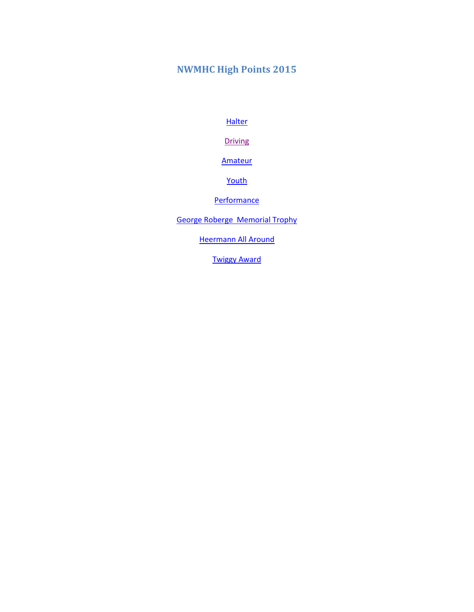# <span id="page-0-0"></span>**NWMHC High Points 2015**

**[Halter](#page-5-0)** 

**[Driving](#page-10-0)** 

[Amateur](#page-1-0)

[Youth](#page-2-0)

**[Performance](#page-8-0)** 

[George Roberge Memorial Trophy](#page-13-0)

**[Heermann All Around](#page-14-0)** 

[Twiggy Award](#page-15-0)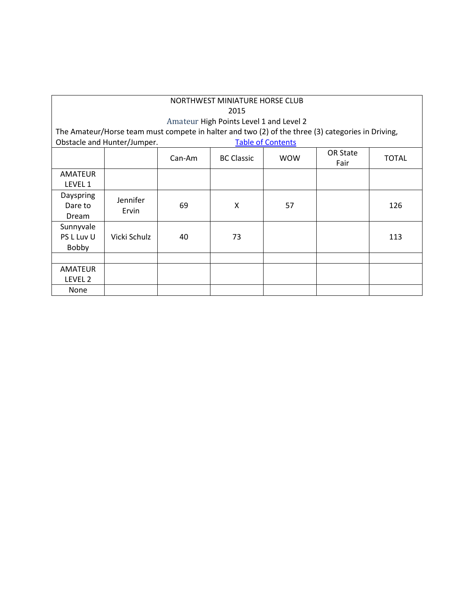<span id="page-1-0"></span>

| NORTHWEST MINIATURE HORSE CLUB<br>2015 |                                                                                                                                              |    |    |                          |                         |              |  |  |  |
|----------------------------------------|----------------------------------------------------------------------------------------------------------------------------------------------|----|----|--------------------------|-------------------------|--------------|--|--|--|
|                                        |                                                                                                                                              |    |    |                          |                         |              |  |  |  |
|                                        | Amateur High Points Level 1 and Level 2<br>The Amateur/Horse team must compete in halter and two (2) of the three (3) categories in Driving, |    |    |                          |                         |              |  |  |  |
|                                        |                                                                                                                                              |    |    |                          |                         |              |  |  |  |
|                                        | Obstacle and Hunter/Jumper.                                                                                                                  |    |    | <b>Table of Contents</b> |                         |              |  |  |  |
|                                        | <b>WOW</b><br>Can-Am<br><b>BC Classic</b>                                                                                                    |    |    |                          | <b>OR State</b><br>Fair | <b>TOTAL</b> |  |  |  |
| <b>AMATEUR</b><br>LEVEL 1              |                                                                                                                                              |    |    |                          |                         |              |  |  |  |
| Dayspring<br>Dare to<br>Dream          | Jennifer<br>Ervin                                                                                                                            | 69 | X  | 57                       |                         | 126          |  |  |  |
| Sunnyvale<br>PS L Luv U<br>Bobby       | Vicki Schulz                                                                                                                                 | 40 | 73 |                          |                         | 113          |  |  |  |
|                                        |                                                                                                                                              |    |    |                          |                         |              |  |  |  |
| <b>AMATEUR</b><br>LEVEL <sub>2</sub>   |                                                                                                                                              |    |    |                          |                         |              |  |  |  |
| None                                   |                                                                                                                                              |    |    |                          |                         |              |  |  |  |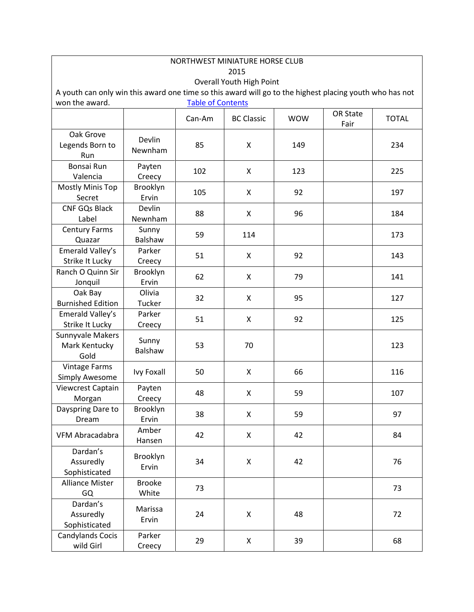<span id="page-2-0"></span>

| NORTHWEST MINIATURE HORSE CLUB                                                                                                             |                        |                          |                   |            |                 |              |  |  |  |
|--------------------------------------------------------------------------------------------------------------------------------------------|------------------------|--------------------------|-------------------|------------|-----------------|--------------|--|--|--|
| 2015                                                                                                                                       |                        |                          |                   |            |                 |              |  |  |  |
| <b>Overall Youth High Point</b><br>A youth can only win this award one time so this award will go to the highest placing youth who has not |                        |                          |                   |            |                 |              |  |  |  |
| won the award.                                                                                                                             |                        | <b>Table of Contents</b> |                   |            |                 |              |  |  |  |
|                                                                                                                                            |                        |                          |                   |            | <b>OR State</b> |              |  |  |  |
|                                                                                                                                            |                        | Can-Am                   | <b>BC Classic</b> | <b>WOW</b> | Fair            | <b>TOTAL</b> |  |  |  |
| Oak Grove<br>Legends Born to<br>Run                                                                                                        | Devlin<br>Newnham      | 85                       | X                 | 149        |                 | 234          |  |  |  |
| Bonsai Run<br>Valencia                                                                                                                     | Payten<br>Creecy       | 102                      | X                 | 123        |                 | 225          |  |  |  |
| Mostly Minis Top<br>Secret                                                                                                                 | Brooklyn<br>Ervin      | 105                      | X                 | 92         |                 | 197          |  |  |  |
| <b>CNF GQs Black</b><br>Label                                                                                                              | Devlin<br>Newnham      | 88                       | X                 | 96         |                 | 184          |  |  |  |
| <b>Century Farms</b><br>Quazar                                                                                                             | Sunny<br>Balshaw       | 59                       | 114               |            |                 | 173          |  |  |  |
| Emerald Valley's<br><b>Strike It Lucky</b>                                                                                                 | Parker<br>Creecy       | 51                       | X                 | 92         |                 | 143          |  |  |  |
| Ranch O Quinn Sir<br>Jonquil                                                                                                               | Brooklyn<br>Ervin      | 62                       | X                 | 79         |                 | 141          |  |  |  |
| Oak Bay<br><b>Burnished Edition</b>                                                                                                        | Olivia<br>Tucker       | 32                       | X                 | 95         |                 | 127          |  |  |  |
| Emerald Valley's<br>Strike It Lucky                                                                                                        | Parker<br>Creecy       | 51                       | X                 | 92         |                 | 125          |  |  |  |
| Sunnyvale Makers<br>Mark Kentucky<br>Gold                                                                                                  | Sunny<br>Balshaw       | 53                       | 70                |            |                 | 123          |  |  |  |
| <b>Vintage Farms</b><br><b>Simply Awesome</b>                                                                                              | <b>Ivy Foxall</b>      | 50                       | X                 | 66         |                 | 116          |  |  |  |
| Viewcrest Captain<br>Morgan                                                                                                                | Payten<br>Creecy       | 48                       | X                 | 59         |                 | 107          |  |  |  |
| Dayspring Dare to<br>Dream                                                                                                                 | Brooklyn<br>Ervin      | 38                       | X                 | 59         |                 | 97           |  |  |  |
| VFM Abracadabra                                                                                                                            | Amber<br>Hansen        | 42                       | X                 | 42         |                 | 84           |  |  |  |
| Dardan's<br>Assuredly<br>Sophisticated                                                                                                     | Brooklyn<br>Ervin      | 34                       | X                 | 42         |                 | 76           |  |  |  |
| <b>Alliance Mister</b><br>GQ                                                                                                               | <b>Brooke</b><br>White | 73                       |                   |            |                 | 73           |  |  |  |
| Dardan's<br>Assuredly<br>Sophisticated                                                                                                     | Marissa<br>Ervin       | 24                       | Χ                 | 48         |                 | 72           |  |  |  |
| Candylands Cocis<br>wild Girl                                                                                                              | Parker<br>Creecy       | 29                       | X                 | 39         |                 | 68           |  |  |  |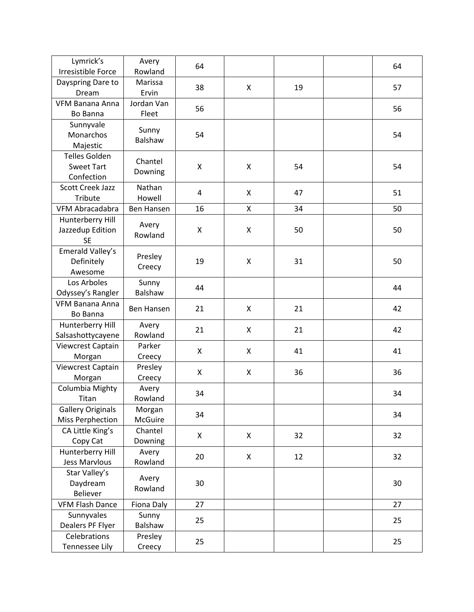| Lymrick's<br><b>Irresistible Force</b>                  | Avery<br>Rowland    | 64 |   |    | 64 |
|---------------------------------------------------------|---------------------|----|---|----|----|
| Dayspring Dare to<br>Dream                              | Marissa<br>Ervin    | 38 | X | 19 | 57 |
| <b>VFM Banana Anna</b><br>Bo Banna                      | Jordan Van<br>Fleet | 56 |   |    | 56 |
| Sunnyvale<br>Monarchos<br>Majestic                      | Sunny<br>Balshaw    | 54 |   |    | 54 |
| <b>Telles Golden</b><br><b>Sweet Tart</b><br>Confection | Chantel<br>Downing  | X  | X | 54 | 54 |
| Scott Creek Jazz<br><b>Tribute</b>                      | Nathan<br>Howell    | 4  | X | 47 | 51 |
| <b>VFM Abracadabra</b>                                  | Ben Hansen          | 16 | Χ | 34 | 50 |
| Hunterberry Hill<br>Jazzedup Edition<br><b>SE</b>       | Avery<br>Rowland    | X  | X | 50 | 50 |
| Emerald Valley's<br>Definitely<br>Awesome               | Presley<br>Creecy   | 19 | X | 31 | 50 |
| Los Arboles<br>Odyssey's Rangler                        | Sunny<br>Balshaw    | 44 |   |    | 44 |
| <b>VFM Banana Anna</b><br>Bo Banna                      | Ben Hansen          | 21 | X | 21 | 42 |
| Hunterberry Hill<br>Salsashottycayene                   | Avery<br>Rowland    | 21 | X | 21 | 42 |
| Viewcrest Captain<br>Morgan                             | Parker<br>Creecy    | X  | X | 41 | 41 |
| Viewcrest Captain<br>Morgan                             | Presley<br>Creecy   | X  | X | 36 | 36 |
| Columbia Mighty<br>Titan                                | Avery<br>Rowland    | 34 |   |    | 34 |
| <b>Gallery Originals</b><br><b>Miss Perphection</b>     | Morgan<br>McGuire   | 34 |   |    | 34 |
| CA Little King's<br>Copy Cat                            | Chantel<br>Downing  | X  | X | 32 | 32 |
| Hunterberry Hill<br>Jess Marvlous                       | Avery<br>Rowland    | 20 | X | 12 | 32 |
| Star Valley's<br>Daydream<br>Believer                   | Avery<br>Rowland    | 30 |   |    | 30 |
| <b>VFM Flash Dance</b>                                  | Fiona Daly          | 27 |   |    | 27 |
| Sunnyvales<br>Dealers PF Flyer                          | Sunny<br>Balshaw    | 25 |   |    | 25 |
| Celebrations<br><b>Tennessee Lily</b>                   | Presley<br>Creecy   | 25 |   |    | 25 |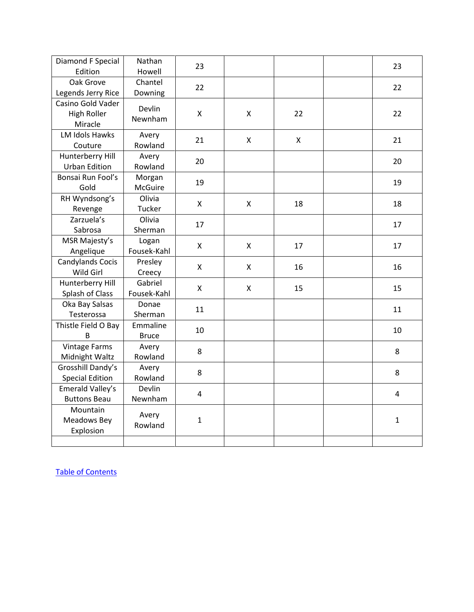| Diamond F Special<br>Edition                | Nathan<br>Howell         | 23           |   |    | 23           |
|---------------------------------------------|--------------------------|--------------|---|----|--------------|
| Oak Grove<br>Legends Jerry Rice             | Chantel<br>Downing       | 22           |   |    | 22           |
| Casino Gold Vader<br>High Roller<br>Miracle | Devlin<br>Newnham        | X            | X | 22 | 22           |
| LM Idols Hawks<br>Couture                   | Avery<br>Rowland         | 21           | X | X  | 21           |
| Hunterberry Hill<br><b>Urban Edition</b>    | Avery<br>Rowland         | 20           |   |    | 20           |
| Bonsai Run Fool's<br>Gold                   | Morgan<br>McGuire        | 19           |   |    | 19           |
| RH Wyndsong's<br>Revenge                    | Olivia<br>Tucker         | X            | X | 18 | 18           |
| Zarzuela's<br>Sabrosa                       | Olivia<br>Sherman        | 17           |   |    | 17           |
| MSR Majesty's<br>Angelique                  | Logan<br>Fousek-Kahl     | X            | X | 17 | 17           |
| <b>Candylands Cocis</b><br>Wild Girl        | Presley<br>Creecy        | X            | X | 16 | 16           |
| Hunterberry Hill<br>Splash of Class         | Gabriel<br>Fousek-Kahl   | X            | X | 15 | 15           |
| Oka Bay Salsas<br>Testerossa                | Donae<br>Sherman         | 11           |   |    | 11           |
| Thistle Field O Bay<br>B                    | Emmaline<br><b>Bruce</b> | 10           |   |    | 10           |
| <b>Vintage Farms</b><br>Midnight Waltz      | Avery<br>Rowland         | 8            |   |    | 8            |
| Grosshill Dandy's<br><b>Special Edition</b> | Avery<br>Rowland         | 8            |   |    | 8            |
| Emerald Valley's<br><b>Buttons Beau</b>     | Devlin<br>Newnham        | 4            |   |    | 4            |
| Mountain<br>Meadows Bey<br>Explosion        | Avery<br>Rowland         | $\mathbf{1}$ |   |    | $\mathbf{1}$ |
|                                             |                          |              |   |    |              |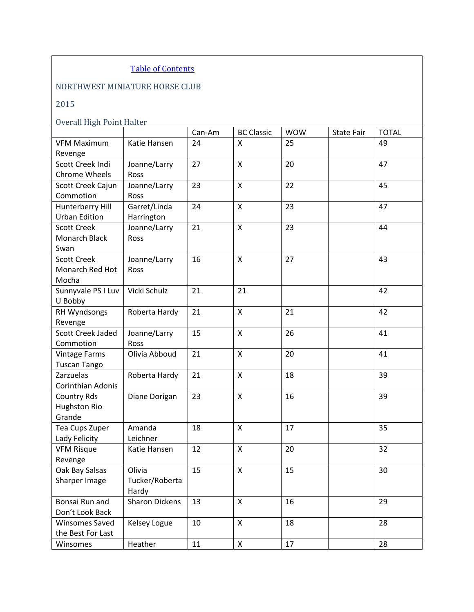### NORTHWEST MINIATURE HORSE CLUB

## 2015

### Overall High Point Halter

<span id="page-5-0"></span>

|                          |                       | Can-Am | <b>BC Classic</b>  | <b>WOW</b> | <b>State Fair</b> | <b>TOTAL</b> |
|--------------------------|-----------------------|--------|--------------------|------------|-------------------|--------------|
| <b>VFM Maximum</b>       | Katie Hansen          | 24     | X                  | 25         |                   | 49           |
| Revenge                  |                       |        |                    |            |                   |              |
| Scott Creek Indi         | Joanne/Larry          | 27     | $\mathsf{x}$       | 20         |                   | 47           |
| <b>Chrome Wheels</b>     | <b>Ross</b>           |        |                    |            |                   |              |
| Scott Creek Cajun        | Joanne/Larry          | 23     | $\mathsf{x}$       | 22         |                   | 45           |
| Commotion                | Ross                  |        |                    |            |                   |              |
| Hunterberry Hill         | Garret/Linda          | 24     | X                  | 23         |                   | 47           |
| <b>Urban Edition</b>     | Harrington            |        |                    |            |                   |              |
| <b>Scott Creek</b>       | Joanne/Larry          | 21     | $\pmb{\mathsf{X}}$ | 23         |                   | 44           |
| Monarch Black            | Ross                  |        |                    |            |                   |              |
| Swan                     |                       |        |                    |            |                   |              |
| <b>Scott Creek</b>       | Joanne/Larry          | 16     | X                  | 27         |                   | 43           |
| Monarch Red Hot          | Ross                  |        |                    |            |                   |              |
| Mocha                    |                       |        |                    |            |                   |              |
| Sunnyvale PS I Luv       | Vicki Schulz          | 21     | 21                 |            |                   | 42           |
| U Bobby                  |                       |        |                    |            |                   |              |
| RH Wyndsongs             | Roberta Hardy         | 21     | $\pmb{\mathsf{X}}$ | 21         |                   | 42           |
| Revenge                  |                       |        |                    |            |                   |              |
| <b>Scott Creek Jaded</b> | Joanne/Larry          | 15     | X                  | 26         |                   | 41           |
| Commotion                | Ross                  |        |                    |            |                   |              |
| <b>Vintage Farms</b>     | Olivia Abboud         | 21     | $\pmb{\mathsf{X}}$ | 20         |                   | 41           |
| <b>Tuscan Tango</b>      |                       |        |                    |            |                   |              |
| Zarzuelas                | Roberta Hardy         | 21     | $\mathsf{x}$       | 18         |                   | 39           |
| Corinthian Adonis        |                       |        |                    |            |                   |              |
| <b>Country Rds</b>       | Diane Dorigan         | 23     | $\pmb{\mathsf{X}}$ | 16         |                   | 39           |
| <b>Hughston Rio</b>      |                       |        |                    |            |                   |              |
| Grande                   |                       |        |                    |            |                   |              |
| Tea Cups Zuper           | Amanda                | 18     | $\pmb{\mathsf{X}}$ | 17         |                   | 35           |
| Lady Felicity            | Leichner              |        |                    |            |                   |              |
| <b>VFM Risque</b>        | Katie Hansen          | 12     | $\mathsf{x}$       | 20         |                   | 32           |
| Revenge                  |                       |        |                    |            |                   |              |
| Oak Bay Salsas           | Olivia                | 15     | Χ                  | 15         |                   | 30           |
| Sharper Image            | Tucker/Roberta        |        |                    |            |                   |              |
|                          | Hardy                 |        |                    |            |                   |              |
| Bonsai Run and           | <b>Sharon Dickens</b> | 13     | $\mathsf{X}$       | 16         |                   | 29           |
| Don't Look Back          |                       |        |                    |            |                   |              |
| <b>Winsomes Saved</b>    | Kelsey Logue          | 10     | X                  | 18         |                   | 28           |
| the Best For Last        |                       |        |                    |            |                   |              |
| Winsomes                 | Heather               | 11     | $\pmb{\mathsf{X}}$ | 17         |                   | 28           |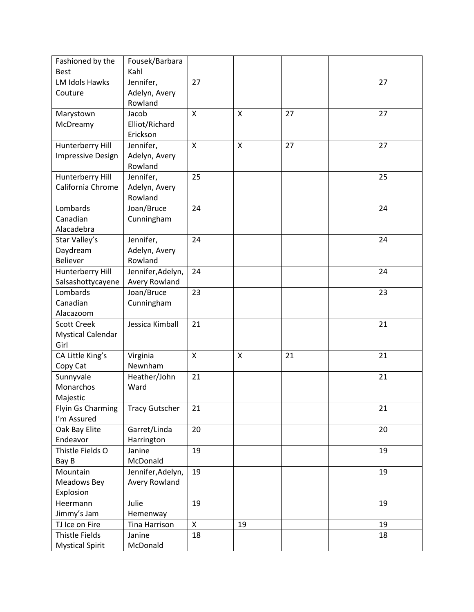| Fashioned by the         | Fousek/Barbara        |                           |                           |    |    |
|--------------------------|-----------------------|---------------------------|---------------------------|----|----|
| <b>Best</b>              | Kahl                  |                           |                           |    |    |
| LM Idols Hawks           | Jennifer,             | 27                        |                           |    | 27 |
| Couture                  | Adelyn, Avery         |                           |                           |    |    |
|                          | Rowland               |                           |                           |    |    |
| Marystown                | Jacob                 | $\boldsymbol{\mathsf{X}}$ | $\boldsymbol{\mathsf{X}}$ | 27 | 27 |
| McDreamy                 | Elliot/Richard        |                           |                           |    |    |
|                          | Erickson              |                           |                           |    |    |
| Hunterberry Hill         | Jennifer,             | X                         | $\boldsymbol{\mathsf{X}}$ | 27 | 27 |
| <b>Impressive Design</b> | Adelyn, Avery         |                           |                           |    |    |
|                          | Rowland               |                           |                           |    |    |
| Hunterberry Hill         | Jennifer,             | 25                        |                           |    | 25 |
| California Chrome        | Adelyn, Avery         |                           |                           |    |    |
|                          | Rowland               |                           |                           |    |    |
| Lombards                 | Joan/Bruce            | 24                        |                           |    | 24 |
| Canadian                 | Cunningham            |                           |                           |    |    |
| Alacadebra               |                       |                           |                           |    |    |
| Star Valley's            | Jennifer,             | 24                        |                           |    | 24 |
| Daydream                 | Adelyn, Avery         |                           |                           |    |    |
| <b>Believer</b>          | Rowland               |                           |                           |    |    |
| Hunterberry Hill         | Jennifer, Adelyn,     | 24                        |                           |    | 24 |
| Salsashottycayene        | Avery Rowland         |                           |                           |    |    |
| Lombards                 | Joan/Bruce            | 23                        |                           |    | 23 |
| Canadian                 | Cunningham            |                           |                           |    |    |
| Alacazoom                |                       |                           |                           |    |    |
| <b>Scott Creek</b>       | Jessica Kimball       | 21                        |                           |    | 21 |
| <b>Mystical Calendar</b> |                       |                           |                           |    |    |
| Girl                     |                       |                           |                           |    |    |
| CA Little King's         | Virginia              | $\mathsf{X}$              | X                         | 21 | 21 |
| Copy Cat                 | Newnham               |                           |                           |    |    |
| Sunnyvale                | Heather/John          | 21                        |                           |    | 21 |
| Monarchos                | Ward                  |                           |                           |    |    |
| Majestic                 |                       |                           |                           |    |    |
| Flyin Gs Charming        | <b>Tracy Gutscher</b> | 21                        |                           |    | 21 |
| I'm Assured              |                       |                           |                           |    |    |
| Oak Bay Elite            | Garret/Linda          | 20                        |                           |    | 20 |
| Endeavor                 | Harrington            |                           |                           |    |    |
| Thistle Fields O         | Janine                | 19                        |                           |    | 19 |
| Bay B                    | McDonald              |                           |                           |    |    |
| Mountain                 | Jennifer, Adelyn,     | 19                        |                           |    | 19 |
| Meadows Bey              | Avery Rowland         |                           |                           |    |    |
| Explosion                |                       |                           |                           |    |    |
| Heermann                 | Julie                 | 19                        |                           |    | 19 |
| Jimmy's Jam              | Hemenway              |                           |                           |    |    |
| TJ Ice on Fire           | Tina Harrison         | X                         | 19                        |    | 19 |
| Thistle Fields           | Janine                | 18                        |                           |    | 18 |
| <b>Mystical Spirit</b>   | McDonald              |                           |                           |    |    |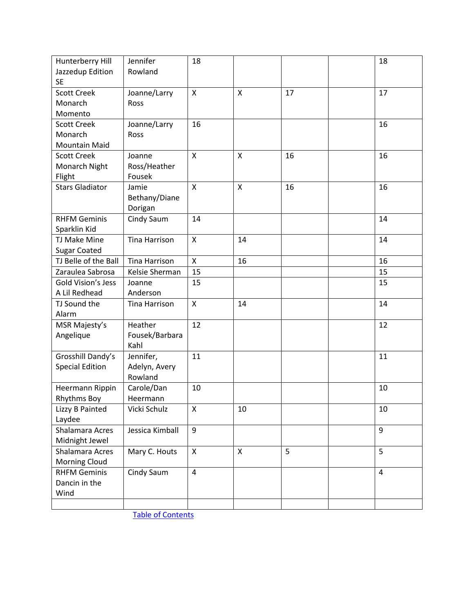| Hunterberry Hill       | Jennifer             | 18                        |                           |    | 18             |
|------------------------|----------------------|---------------------------|---------------------------|----|----------------|
| Jazzedup Edition       | Rowland              |                           |                           |    |                |
| <b>SE</b>              |                      |                           |                           |    |                |
| <b>Scott Creek</b>     | Joanne/Larry         | $\boldsymbol{\mathsf{X}}$ | X                         | 17 | 17             |
| Monarch                | <b>Ross</b>          |                           |                           |    |                |
| Momento                |                      |                           |                           |    |                |
| <b>Scott Creek</b>     | Joanne/Larry         | 16                        |                           |    | 16             |
| Monarch                | Ross                 |                           |                           |    |                |
| <b>Mountain Maid</b>   |                      |                           |                           |    |                |
| <b>Scott Creek</b>     | Joanne               | $\boldsymbol{\mathsf{X}}$ | $\boldsymbol{\mathsf{X}}$ | 16 | 16             |
| Monarch Night          | Ross/Heather         |                           |                           |    |                |
| Flight                 | Fousek               |                           |                           |    |                |
| <b>Stars Gladiator</b> | Jamie                | $\boldsymbol{\mathsf{X}}$ | $\mathsf{x}$              | 16 | 16             |
|                        | Bethany/Diane        |                           |                           |    |                |
|                        | Dorigan              |                           |                           |    |                |
| <b>RHFM Geminis</b>    | Cindy Saum           | 14                        |                           |    | 14             |
| Sparklin Kid           |                      |                           |                           |    |                |
| TJ Make Mine           | <b>Tina Harrison</b> | $\boldsymbol{\mathsf{X}}$ | 14                        |    | 14             |
| <b>Sugar Coated</b>    |                      |                           |                           |    |                |
| TJ Belle of the Ball   | <b>Tina Harrison</b> | $\mathsf{x}$              | 16                        |    | 16             |
| Zaraulea Sabrosa       | Kelsie Sherman       | 15                        |                           |    | 15             |
| Gold Vision's Jess     | Joanne               | 15                        |                           |    | 15             |
| A Lil Redhead          | Anderson             |                           |                           |    |                |
| TJ Sound the           | <b>Tina Harrison</b> | $\boldsymbol{\mathsf{X}}$ | 14                        |    | 14             |
| Alarm                  |                      |                           |                           |    |                |
| MSR Majesty's          | Heather              | 12                        |                           |    | 12             |
| Angelique              | Fousek/Barbara       |                           |                           |    |                |
|                        | Kahl                 |                           |                           |    |                |
| Grosshill Dandy's      | Jennifer,            | 11                        |                           |    | 11             |
| <b>Special Edition</b> | Adelyn, Avery        |                           |                           |    |                |
|                        | Rowland              |                           |                           |    |                |
| Heermann Rippin        | Carole/Dan           | 10                        |                           |    | 10             |
| Rhythms Boy            | Heermann             |                           |                           |    |                |
| Lizzy B Painted        | Vicki Schulz         | $\boldsymbol{\mathsf{X}}$ | 10                        |    | 10             |
| Laydee                 |                      |                           |                           |    |                |
| Shalamara Acres        | Jessica Kimball      | 9                         |                           |    | 9              |
| Midnight Jewel         |                      |                           |                           |    |                |
| Shalamara Acres        | Mary C. Houts        | $\mathsf{X}$              | X                         | 5  | 5              |
| Morning Cloud          |                      |                           |                           |    |                |
| <b>RHFM Geminis</b>    | Cindy Saum           | $\overline{4}$            |                           |    | $\overline{4}$ |
| Dancin in the          |                      |                           |                           |    |                |
| Wind                   |                      |                           |                           |    |                |
|                        |                      |                           |                           |    |                |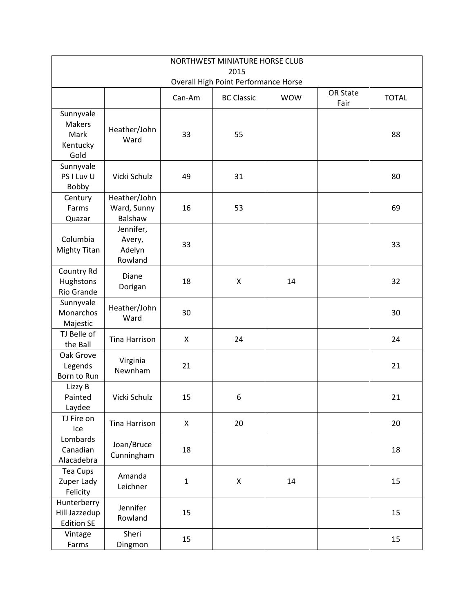<span id="page-8-0"></span>

| NORTHWEST MINIATURE HORSE CLUB<br>2015                 |                                          |             |                                      |            |                  |              |  |  |  |
|--------------------------------------------------------|------------------------------------------|-------------|--------------------------------------|------------|------------------|--------------|--|--|--|
|                                                        |                                          |             | Overall High Point Performance Horse |            |                  |              |  |  |  |
|                                                        |                                          | Can-Am      | <b>BC Classic</b>                    | <b>WOW</b> | OR State<br>Fair | <b>TOTAL</b> |  |  |  |
| Sunnyvale<br><b>Makers</b><br>Mark<br>Kentucky<br>Gold | Heather/John<br>Ward                     | 33          | 55                                   |            |                  | 88           |  |  |  |
| Sunnyvale<br>PS I Luv U<br>Bobby                       | Vicki Schulz                             | 49          | 31                                   |            |                  | 80           |  |  |  |
| Century<br>Farms<br>Quazar                             | Heather/John<br>Ward, Sunny<br>Balshaw   | 16          | 53                                   |            |                  | 69           |  |  |  |
| Columbia<br><b>Mighty Titan</b>                        | Jennifer,<br>Avery,<br>Adelyn<br>Rowland | 33          |                                      |            |                  | 33           |  |  |  |
| Country Rd<br>Hughstons<br>Rio Grande                  | Diane<br>Dorigan                         | 18          | X                                    | 14         |                  | 32           |  |  |  |
| Sunnyvale<br>Monarchos<br>Majestic                     | Heather/John<br>Ward                     | 30          |                                      |            |                  | 30           |  |  |  |
| TJ Belle of<br>the Ball                                | <b>Tina Harrison</b>                     | X           | 24                                   |            |                  | 24           |  |  |  |
| Oak Grove<br>Legends<br>Born to Run                    | Virginia<br>Newnham                      | 21          |                                      |            |                  | 21           |  |  |  |
| Lizzy B<br>Painted<br>Laydee                           | Vicki Schulz                             | 15          | 6                                    |            |                  | 21           |  |  |  |
| TJ Fire on<br>Ice                                      | Tina Harrison                            | X           | 20                                   |            |                  | 20           |  |  |  |
| Lombards<br>Canadian<br>Alacadebra                     | Joan/Bruce<br>Cunningham                 | 18          |                                      |            |                  | 18           |  |  |  |
| Tea Cups<br>Zuper Lady<br>Felicity                     | Amanda<br>Leichner                       | $\mathbf 1$ | X                                    | 14         |                  | 15           |  |  |  |
| Hunterberry<br>Hill Jazzedup<br><b>Edition SE</b>      | Jennifer<br>Rowland                      | 15          |                                      |            |                  | 15           |  |  |  |
| Vintage<br>Farms                                       | Sheri<br>Dingmon                         | 15          |                                      |            |                  | 15           |  |  |  |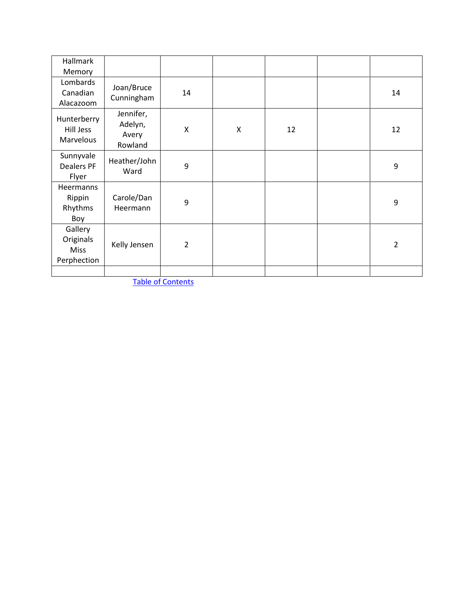| <b>Hallmark</b><br>Memory                          |                                          |                |   |    |                |
|----------------------------------------------------|------------------------------------------|----------------|---|----|----------------|
| Lombards<br>Canadian<br>Alacazoom                  | Joan/Bruce<br>Cunningham                 | 14             |   |    | 14             |
| Hunterberry<br>Hill Jess<br>Marvelous              | Jennifer,<br>Adelyn,<br>Avery<br>Rowland | X              | X | 12 | 12             |
| Sunnyvale<br>Dealers PF<br>Flyer                   | Heather/John<br>Ward                     | 9              |   |    | 9              |
| Heermanns<br>Rippin<br>Rhythms<br>Boy              | Carole/Dan<br>Heermann                   | 9              |   |    | 9              |
| Gallery<br>Originals<br><b>Miss</b><br>Perphection | Kelly Jensen                             | $\overline{2}$ |   |    | $\overline{2}$ |
|                                                    |                                          |                |   |    |                |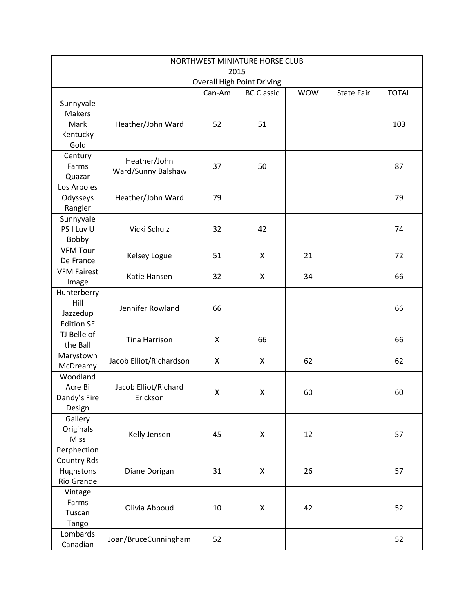<span id="page-10-0"></span>

| NORTHWEST MINIATURE HORSE CLUB                         |                                                                                |    |                    |    |  |     |  |  |  |  |
|--------------------------------------------------------|--------------------------------------------------------------------------------|----|--------------------|----|--|-----|--|--|--|--|
| 2015<br><b>Overall High Point Driving</b>              |                                                                                |    |                    |    |  |     |  |  |  |  |
|                                                        | <b>BC Classic</b><br><b>WOW</b><br><b>TOTAL</b><br>Can-Am<br><b>State Fair</b> |    |                    |    |  |     |  |  |  |  |
| Sunnyvale<br><b>Makers</b><br>Mark<br>Kentucky<br>Gold | Heather/John Ward                                                              | 52 | 51                 |    |  | 103 |  |  |  |  |
| Century<br>Farms<br>Quazar                             | Heather/John<br>Ward/Sunny Balshaw                                             | 37 | 50                 |    |  | 87  |  |  |  |  |
| Los Arboles<br>Odysseys<br>Rangler                     | Heather/John Ward                                                              | 79 |                    |    |  | 79  |  |  |  |  |
| Sunnyvale<br>PS I Luv U<br>Bobby                       | Vicki Schulz                                                                   | 32 | 42                 |    |  | 74  |  |  |  |  |
| <b>VFM Tour</b><br>De France                           | Kelsey Logue                                                                   | 51 | X                  | 21 |  | 72  |  |  |  |  |
| <b>VFM Fairest</b><br>Image                            | Katie Hansen                                                                   | 32 | X                  | 34 |  | 66  |  |  |  |  |
| Hunterberry<br>Hill<br>Jazzedup<br><b>Edition SE</b>   | Jennifer Rowland                                                               | 66 |                    |    |  | 66  |  |  |  |  |
| TJ Belle of<br>the Ball                                | <b>Tina Harrison</b>                                                           | X  | 66                 |    |  | 66  |  |  |  |  |
| Marystown<br>McDreamy                                  | Jacob Elliot/Richardson                                                        | X  | X                  | 62 |  | 62  |  |  |  |  |
| Woodland<br>Acre Bi<br>Dandy's Fire<br>Design          | Jacob Elliot/Richard<br>Erickson                                               | X  | $\pmb{\times}$     | 60 |  | 60  |  |  |  |  |
| Gallery<br>Originals<br>Miss<br>Perphection            | Kelly Jensen                                                                   | 45 | $\pmb{\mathsf{X}}$ | 12 |  | 57  |  |  |  |  |
| Country Rds<br>Hughstons<br>Rio Grande                 | Diane Dorigan                                                                  | 31 | $\pmb{\mathsf{X}}$ | 26 |  | 57  |  |  |  |  |
| Vintage<br>Farms<br>Tuscan<br>Tango                    | Olivia Abboud                                                                  | 10 | $\pmb{\mathsf{X}}$ | 42 |  | 52  |  |  |  |  |
| Lombards<br>Canadian                                   | Joan/BruceCunningham                                                           | 52 |                    |    |  | 52  |  |  |  |  |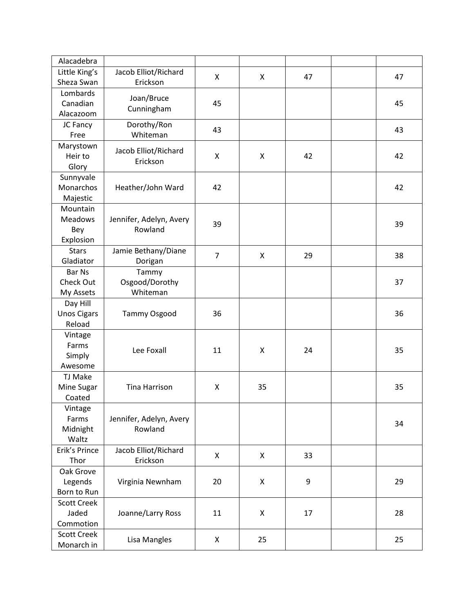| Alacadebra           |                         |                |    |    |    |
|----------------------|-------------------------|----------------|----|----|----|
| Little King's        | Jacob Elliot/Richard    |                |    |    |    |
| Sheza Swan           | Erickson                | X              | X  | 47 | 47 |
| Lombards             |                         |                |    |    |    |
| Canadian             | Joan/Bruce              | 45             |    |    | 45 |
| Alacazoom            | Cunningham              |                |    |    |    |
| JC Fancy             | Dorothy/Ron             |                |    |    |    |
| Free                 | Whiteman                | 43             |    |    | 43 |
| Marystown            |                         |                |    |    |    |
| Heir to              | Jacob Elliot/Richard    | X              | X  | 42 | 42 |
| Glory                | Erickson                |                |    |    |    |
| Sunnyvale            |                         |                |    |    |    |
| Monarchos            | Heather/John Ward       | 42             |    |    | 42 |
|                      |                         |                |    |    |    |
| Majestic<br>Mountain |                         |                |    |    |    |
|                      |                         |                |    |    |    |
| <b>Meadows</b>       | Jennifer, Adelyn, Avery | 39             |    |    | 39 |
| Bey                  | Rowland                 |                |    |    |    |
| Explosion            |                         |                |    |    |    |
| <b>Stars</b>         | Jamie Bethany/Diane     | $\overline{7}$ | X  | 29 | 38 |
| Gladiator            | Dorigan                 |                |    |    |    |
| <b>Bar Ns</b>        | Tammy                   |                |    |    |    |
| Check Out            | Osgood/Dorothy          |                |    |    | 37 |
| My Assets            | Whiteman                |                |    |    |    |
| Day Hill             |                         |                |    |    |    |
| <b>Unos Cigars</b>   | Tammy Osgood            | 36             |    |    | 36 |
| Reload               |                         |                |    |    |    |
| Vintage              |                         |                |    |    |    |
| Farms                | Lee Foxall              | 11             | Χ  | 24 | 35 |
| Simply               |                         |                |    |    |    |
| Awesome              |                         |                |    |    |    |
| TJ Make              |                         |                |    |    |    |
| Mine Sugar           | <b>Tina Harrison</b>    | X              | 35 |    | 35 |
| Coated               |                         |                |    |    |    |
| Vintage              |                         |                |    |    |    |
| Farms                | Jennifer, Adelyn, Avery |                |    |    | 34 |
| Midnight             | Rowland                 |                |    |    |    |
| Waltz                |                         |                |    |    |    |
| Erik's Prince        | Jacob Elliot/Richard    | X              | X  | 33 |    |
| Thor                 | Erickson                |                |    |    |    |
| Oak Grove            |                         |                |    |    |    |
| Legends              | Virginia Newnham        | 20             | X  | 9  | 29 |
| Born to Run          |                         |                |    |    |    |
| <b>Scott Creek</b>   |                         |                |    |    |    |
| Jaded                | Joanne/Larry Ross       | 11             | X  | 17 | 28 |
| Commotion            |                         |                |    |    |    |
| <b>Scott Creek</b>   |                         |                |    |    |    |
| Monarch in           | Lisa Mangles            | X              | 25 |    | 25 |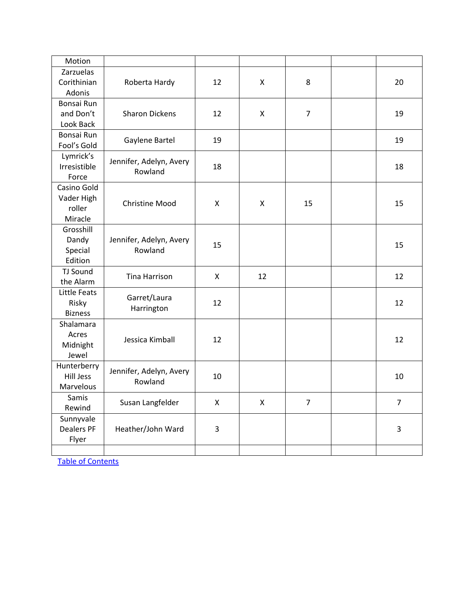| Motion            |                         |    |    |                |                |
|-------------------|-------------------------|----|----|----------------|----------------|
| Zarzuelas         |                         |    |    |                |                |
| Corithinian       | Roberta Hardy           | 12 | X  | 8              | 20             |
| Adonis            |                         |    |    |                |                |
| Bonsai Run        |                         |    |    |                |                |
| and Don't         | <b>Sharon Dickens</b>   | 12 | X  | $\overline{7}$ | 19             |
| Look Back         |                         |    |    |                |                |
| Bonsai Run        |                         |    |    |                |                |
| Fool's Gold       | Gaylene Bartel          | 19 |    |                | 19             |
| Lymrick's         |                         |    |    |                |                |
| Irresistible      | Jennifer, Adelyn, Avery | 18 |    |                | 18             |
| Force             | Rowland                 |    |    |                |                |
| Casino Gold       |                         |    |    |                |                |
| Vader High        | <b>Christine Mood</b>   | X  | X  | 15             | 15             |
| roller            |                         |    |    |                |                |
| Miracle           |                         |    |    |                |                |
| Grosshill         |                         |    |    |                |                |
| Dandy             | Jennifer, Adelyn, Avery | 15 |    |                | 15             |
| Special           | Rowland                 |    |    |                |                |
| Edition           |                         |    |    |                |                |
| TJ Sound          | <b>Tina Harrison</b>    | X  | 12 |                | 12             |
| the Alarm         |                         |    |    |                |                |
| Little Feats      | Garret/Laura            |    |    |                |                |
| Risky             | Harrington              | 12 |    |                | 12             |
| <b>Bizness</b>    |                         |    |    |                |                |
| Shalamara         |                         |    |    |                |                |
| Acres             | Jessica Kimball         | 12 |    |                | 12             |
| Midnight<br>Jewel |                         |    |    |                |                |
| Hunterberry       |                         |    |    |                |                |
| <b>Hill Jess</b>  | Jennifer, Adelyn, Avery | 10 |    |                | 10             |
| Marvelous         | Rowland                 |    |    |                |                |
| Samis             |                         |    |    |                |                |
| Rewind            | Susan Langfelder        | X  | X  | $\overline{7}$ | $\overline{7}$ |
| Sunnyvale         |                         |    |    |                |                |
| <b>Dealers PF</b> | Heather/John Ward       | 3  |    |                | 3              |
| Flyer             |                         |    |    |                |                |
|                   |                         |    |    |                |                |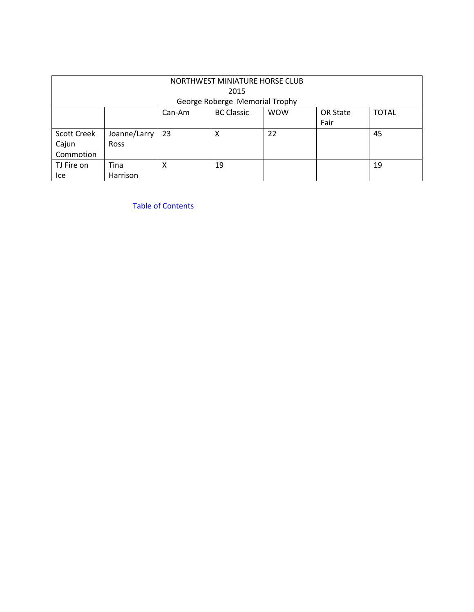<span id="page-13-0"></span>

| NORTHWEST MINIATURE HORSE CLUB<br>2015<br>George Roberge Memorial Trophy |                                                                               |    |    |    |  |    |  |  |
|--------------------------------------------------------------------------|-------------------------------------------------------------------------------|----|----|----|--|----|--|--|
|                                                                          | <b>BC Classic</b><br><b>TOTAL</b><br><b>WOW</b><br>OR State<br>Can-Am<br>Fair |    |    |    |  |    |  |  |
| <b>Scott Creek</b><br>Cajun<br>Commotion                                 | Joanne/Larry<br><b>Ross</b>                                                   | 23 | Χ  | 22 |  | 45 |  |  |
| TJ Fire on<br>Ice                                                        | Tina<br>Harrison                                                              | X  | 19 |    |  | 19 |  |  |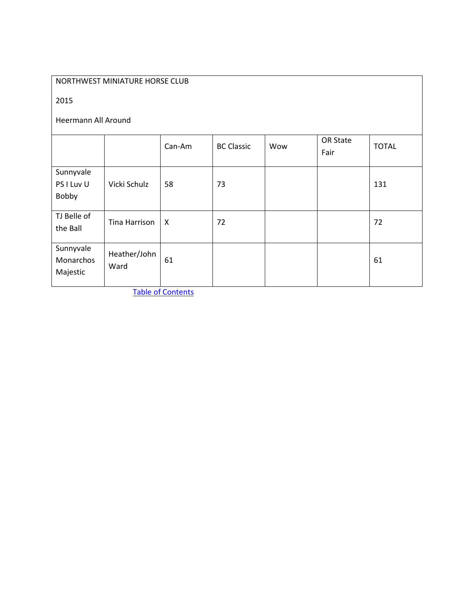### NORTHWEST MINIATURE HORSE CLUB

2015

#### Heermann All Around

<span id="page-14-0"></span>

|                                    |                      | Can-Am       | <b>BC Classic</b> | Wow | OR State<br>Fair | <b>TOTAL</b> |
|------------------------------------|----------------------|--------------|-------------------|-----|------------------|--------------|
| Sunnyvale<br>PS I Luv U<br>Bobby   | Vicki Schulz         | 58           | 73                |     |                  | 131          |
| TJ Belle of<br>the Ball            | Tina Harrison        | $\mathsf{X}$ | 72                |     |                  | 72           |
| Sunnyvale<br>Monarchos<br>Majestic | Heather/John<br>Ward | 61           |                   |     |                  | 61           |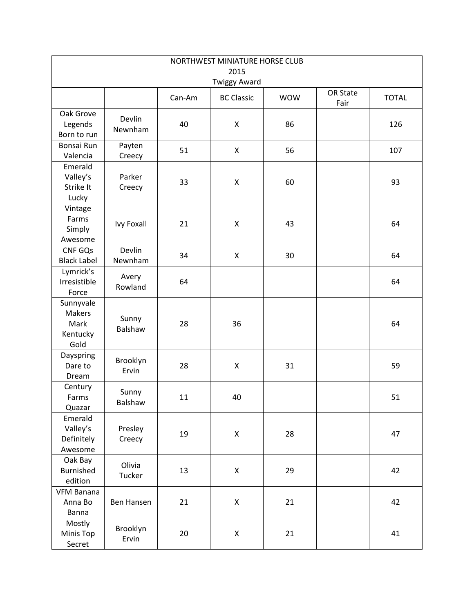<span id="page-15-0"></span>

| NORTHWEST MINIATURE HORSE CLUB                  |                   |        |                     |            |          |              |
|-------------------------------------------------|-------------------|--------|---------------------|------------|----------|--------------|
| 2015                                            |                   |        |                     |            |          |              |
|                                                 |                   |        | <b>Twiggy Award</b> |            | OR State |              |
|                                                 |                   | Can-Am | <b>BC Classic</b>   | <b>WOW</b> | Fair     | <b>TOTAL</b> |
| Oak Grove<br>Legends<br>Born to run             | Devlin<br>Newnham | 40     | $\pmb{\times}$      | 86         |          | 126          |
| Bonsai Run<br>Valencia                          | Payten<br>Creecy  | 51     | X                   | 56         |          | 107          |
| Emerald<br>Valley's<br>Strike It<br>Lucky       | Parker<br>Creecy  | 33     | X                   | 60         |          | 93           |
| Vintage<br>Farms<br>Simply<br>Awesome           | <b>Ivy Foxall</b> | 21     | $\pmb{\mathsf{X}}$  | 43         |          | 64           |
| CNF GQs<br><b>Black Label</b>                   | Devlin<br>Newnham | 34     | $\pmb{\times}$      | 30         |          | 64           |
| Lymrick's<br>Irresistible<br>Force              | Avery<br>Rowland  | 64     |                     |            |          | 64           |
| Sunnyvale<br>Makers<br>Mark<br>Kentucky<br>Gold | Sunny<br>Balshaw  | 28     | 36                  |            |          | 64           |
| Dayspring<br>Dare to<br>Dream                   | Brooklyn<br>Ervin | 28     | $\mathsf{X}$        | 31         |          | 59           |
| Century<br>Farms<br>Quazar                      | Sunny<br>Balshaw  | 11     | 40                  |            |          | 51           |
| Emerald<br>Valley's<br>Definitely<br>Awesome    | Presley<br>Creecy | 19     | $\mathsf X$         | 28         |          | 47           |
| Oak Bay<br>Burnished<br>edition                 | Olivia<br>Tucker  | 13     | $\pmb{\times}$      | 29         |          | 42           |
| <b>VFM Banana</b><br>Anna Bo<br><b>Banna</b>    | Ben Hansen        | 21     | X                   | 21         |          | 42           |
| Mostly<br>Minis Top<br>Secret                   | Brooklyn<br>Ervin | 20     | $\mathsf X$         | 21         |          | 41           |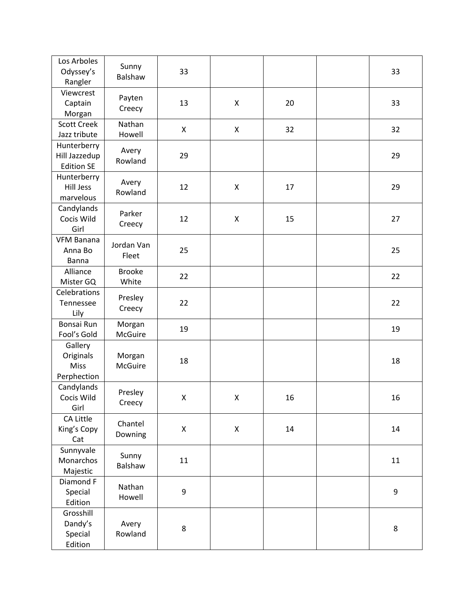| Los Arboles<br>Odyssey's<br>Rangler                | Sunny<br>Balshaw         | 33 |                    |    | 33 |
|----------------------------------------------------|--------------------------|----|--------------------|----|----|
| Viewcrest<br>Captain<br>Morgan                     | Payten<br>Creecy         | 13 | $\pmb{\mathsf{X}}$ | 20 | 33 |
| <b>Scott Creek</b><br>Jazz tribute                 | Nathan<br>Howell         | X  | X                  | 32 | 32 |
| Hunterberry<br>Hill Jazzedup<br><b>Edition SE</b>  | Avery<br>Rowland         | 29 |                    |    | 29 |
| Hunterberry<br><b>Hill Jess</b><br>marvelous       | Avery<br>Rowland         | 12 | X                  | 17 | 29 |
| Candylands<br>Cocis Wild<br>Girl                   | Parker<br>Creecy         | 12 | X                  | 15 | 27 |
| VFM Banana<br>Anna Bo<br>Banna                     | Jordan Van<br>Fleet      | 25 |                    |    | 25 |
| Alliance<br>Mister GQ                              | <b>Brooke</b><br>White   | 22 |                    |    | 22 |
| Celebrations<br>Tennessee<br>Lily                  | Presley<br>Creecy        | 22 |                    |    | 22 |
| Bonsai Run<br>Fool's Gold                          | Morgan<br>McGuire        | 19 |                    |    | 19 |
| Gallery<br>Originals<br><b>Miss</b><br>Perphection | Morgan<br><b>McGuire</b> | 18 |                    |    | 18 |
| Candylands<br>Cocis Wild<br>Girl                   | Presley<br>Creecy        | X  | X                  | 16 | 16 |
| CA Little<br>King's Copy<br>Cat                    | Chantel<br>Downing       | Χ  | $\mathsf X$        | 14 | 14 |
| Sunnyvale<br>Monarchos<br>Majestic                 | Sunny<br>Balshaw         | 11 |                    |    | 11 |
| Diamond F<br>Special<br>Edition                    | Nathan<br>Howell         | 9  |                    |    | 9  |
| Grosshill<br>Dandy's<br>Special<br>Edition         | Avery<br>Rowland         | 8  |                    |    | 8  |